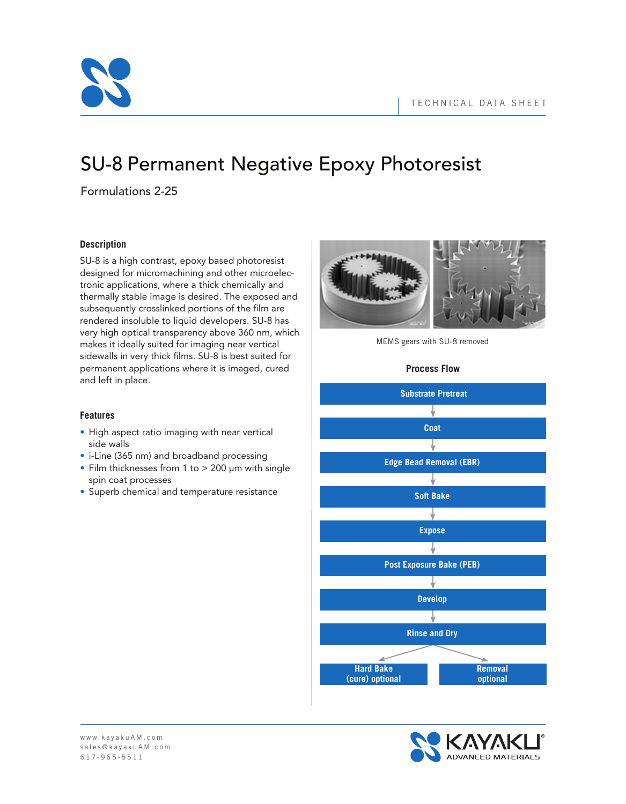

# SU-8 Permanent Negative Epoxy Photoresist

Formulations 2-25

# **Description**

SU-8 is a high contrast, epoxy based photoresist designed for micromachining and other microelectronic applications, where a thick chemically and thermally stable image is desired. The exposed and subsequently crosslinked portions of the film are rendered insoluble to liquid developers. SU-8 has very high optical transparency above 360 nm, which makes it ideally suited for imaging near vertical sidewalls in very thick films. SU-8 is best suited for permanent applications where it is imaged, cured and left in place.

# **Features**

- High aspect ratio imaging with near vertical side walls
- i-Line (365 nm) and broadband processing
- Film thicknesses from 1 to > 200 μm with single spin coat processes
- Superb chemical and temperature resistance



MEMS gears with SU-8 removed

# **Process Flow**



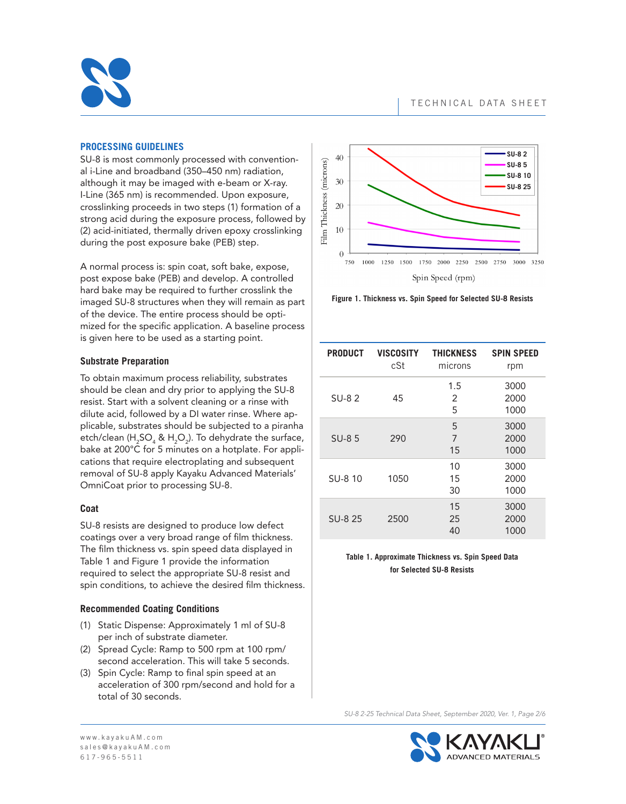

## **PROCESSING GUIDELINES**

SU-8 is most commonly processed with conventional i-Line and broadband (350–450 nm) radiation, although it may be imaged with e-beam or X-ray. I-Line (365 nm) is recommended. Upon exposure, crosslinking proceeds in two steps (1) formation of a strong acid during the exposure process, followed by (2) acid-initiated, thermally driven epoxy crosslinking during the post exposure bake (PEB) step.

A normal process is: spin coat, soft bake, expose, post expose bake (PEB) and develop. A controlled hard bake may be required to further crosslink the imaged SU-8 structures when they will remain as part of the device. The entire process should be optimized for the specific application. A baseline process is given here to be used as a starting point.

## **Substrate Preparation**

To obtain maximum process reliability, substrates should be clean and dry prior to applying the SU-8 resist. Start with a solvent cleaning or a rinse with dilute acid, followed by a DI water rinse. Where applicable, substrates should be subjected to a piranha etch/clean (H<sub>2</sub>SO<sub>4</sub> & H<sub>2</sub>O<sub>2</sub>). To dehydrate the surface, bake at 200°C for 5 minutes on a hotplate. For applications that require electroplating and subsequent removal of SU-8 apply Kayaku Advanced Materials' OmniCoat prior to processing SU-8.

## **Coat**

SU-8 resists are designed to produce low defect coatings over a very broad range of film thickness. The film thickness vs. spin speed data displayed in Table 1 and Figure 1 provide the information required to select the appropriate SU-8 resist and spin conditions, to achieve the desired film thickness.

## **Recommended Coating Conditions**

- (1) Static Dispense: Approximately 1 ml of SU-8 per inch of substrate diameter.
- (2) Spread Cycle: Ramp to 500 rpm at 100 rpm/ second acceleration. This will take 5 seconds.
- (3) Spin Cycle: Ramp to final spin speed at an acceleration of 300 rpm/second and hold for a total of 30 seconds.



**Figure 1. Thickness vs. Spin Speed for Selected SU-8 Resists**

| <b>PRODUCT</b> | <b>VISCOSITY</b><br>cSt | <b>THICKNESS</b><br>microns | <b>SPIN SPEED</b><br>rpm |
|----------------|-------------------------|-----------------------------|--------------------------|
| <b>SU-82</b>   | 45                      | 1.5<br>2<br>5               | 3000<br>2000<br>1000     |
| $SU-85$        | 290                     | 5<br>7<br>15                | 3000<br>2000<br>1000     |
| SU-8 10        | 1050                    | 10<br>15<br>30              | 3000<br>2000<br>1000     |
| SU-8 25        | 2500                    | 15<br>25<br>40              | 3000<br>2000<br>1000     |

## **Table 1. Approximate Thickness vs. Spin Speed Data for Selected SU-8 Resists**

*SU-8 2-25 Technical Data Sheet, September 2020, Ver. 1, Page 2/6*

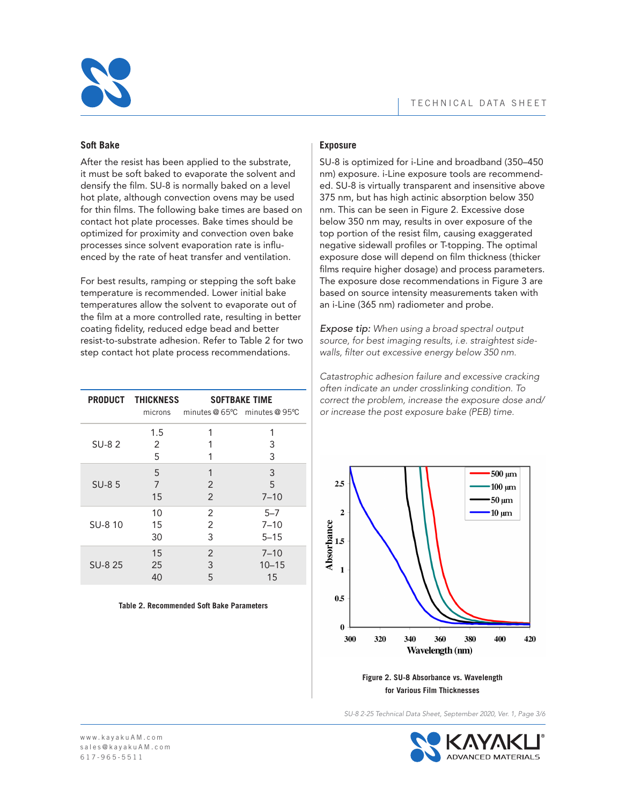

## **Soft Bake**

After the resist has been applied to the substrate, it must be soft baked to evaporate the solvent and densify the film. SU-8 is normally baked on a level hot plate, although convection ovens may be used for thin films. The following bake times are based on contact hot plate processes. Bake times should be optimized for proximity and convection oven bake processes since solvent evaporation rate is influenced by the rate of heat transfer and ventilation.

For best results, ramping or stepping the soft bake temperature is recommended. Lower initial bake temperatures allow the solvent to evaporate out of the film at a more controlled rate, resulting in better coating fidelity, reduced edge bead and better resist-to-substrate adhesion. Refer to Table 2 for two step contact hot plate process recommendations.

|              | <b>PRODUCT THICKNESS</b><br>microns |                | <b>SOFTBAKE TIME</b><br>minutes $@65°C$ minutes $@95°C$ |
|--------------|-------------------------------------|----------------|---------------------------------------------------------|
| <b>SU-82</b> | 1.5<br>2<br>5                       | 1              | 3<br>3                                                  |
| SU-85        | 5                                   | 1              | 3                                                       |
|              | 7                                   | 2              | 5                                                       |
|              | 15                                  | $\overline{2}$ | $7 - 10$                                                |
| SU-8 10      | 10                                  | 2              | $5 - 7$                                                 |
|              | 15                                  | 2              | $7 - 10$                                                |
|              | 30                                  | 3              | $5 - 15$                                                |
| SU-8 25      | 15                                  | 2              | $7 - 10$                                                |
|              | 25                                  | 3              | $10 - 15$                                               |
|              | 40                                  | 5              | 15                                                      |

#### **Table 2. Recommended Soft Bake Parameters**

## **Exposure**

SU-8 is optimized for i-Line and broadband (350–450 nm) exposure. i-Line exposure tools are recommended. SU-8 is virtually transparent and insensitive above 375 nm, but has high actinic absorption below 350 nm. This can be seen in Figure 2. Excessive dose below 350 nm may, results in over exposure of the top portion of the resist film, causing exaggerated negative sidewall profiles or T-topping. The optimal exposure dose will depend on film thickness (thicker films require higher dosage) and process parameters. The exposure dose recommendations in Figure 3 are based on source intensity measurements taken with an i-Line (365 nm) radiometer and probe.

*Expose tip: When using a broad spectral output source, for best imaging results, i.e. straightest sidewalls, filter out excessive energy below 350 nm.*

*Catastrophic adhesion failure and excessive cracking often indicate an under crosslinking condition. To correct the problem, increase the exposure dose and/ or increase the post exposure bake (PEB) time.*



**Figure 2. SU-8 Absorbance vs. Wavelength for Various Film Thicknesses**

*SU-8 2-25 Technical Data Sheet, September 2020, Ver. 1, Page 3/6*

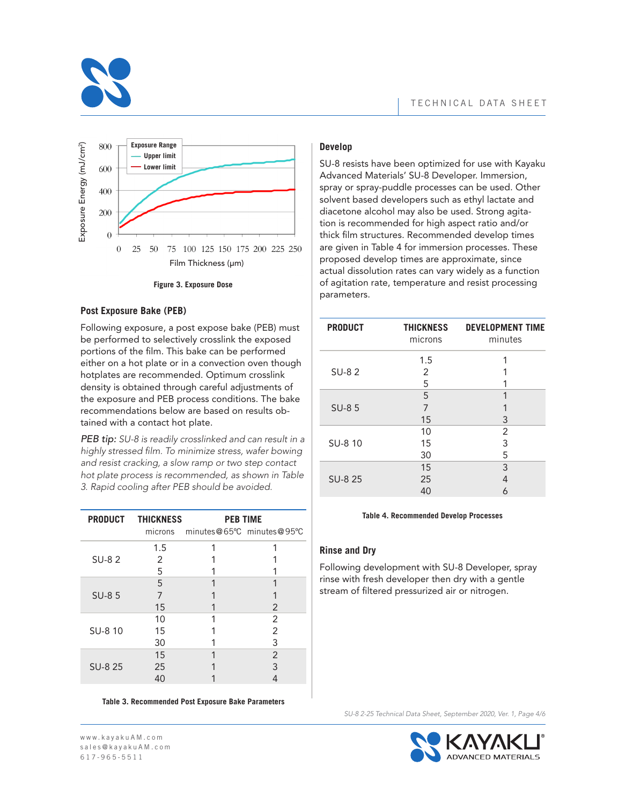



#### **Figure 3. Exposure Dose**

#### **Post Exposure Bake (PEB)**

Following exposure, a post expose bake (PEB) must be performed to selectively crosslink the exposed portions of the film. This bake can be performed either on a hot plate or in a convection oven though hotplates are recommended. Optimum crosslink density is obtained through careful adjustments of the exposure and PEB process conditions. The bake recommendations below are based on results obtained with a contact hot plate.

*PEB tip: SU-8 is readily crosslinked and can result in a highly stressed film. To minimize stress, wafer bowing and resist cracking, a slow ramp or two step contact hot plate process is recommended, as shown in Table 3. Rapid cooling after PEB should be avoided.*

|         | PRODUCT THICKNESS | <b>PEB TIME</b>           |               |
|---------|-------------------|---------------------------|---------------|
|         | microns           | minutes@65°C minutes@95°C |               |
|         | 1.5               | 1                         | 1             |
| SU-82   | 2                 |                           |               |
|         | 5                 |                           |               |
|         | 5                 |                           |               |
| SU-85   | 7                 |                           |               |
|         | 15                |                           | $\mathcal{P}$ |
|         | 10                |                           | 2             |
| SU-8 10 | 15                |                           | 2             |
|         | 30                |                           | 3             |
|         | 15                |                           | 2             |
| SU-8 25 | 25                |                           | 3             |
|         | 40                |                           | 4             |

**Table 3. Recommended Post Exposure Bake Parameters**

## **Develop**

SU-8 resists have been optimized for use with Kayaku Advanced Materials' SU-8 Developer. Immersion, spray or spray-puddle processes can be used. Other solvent based developers such as ethyl lactate and diacetone alcohol may also be used. Strong agitation is recommended for high aspect ratio and/or thick film structures. Recommended develop times are given in Table 4 for immersion processes. These proposed develop times are approximate, since actual dissolution rates can vary widely as a function of agitation rate, temperature and resist processing parameters.

| <b>PRODUCT</b> | <b>THICKNESS</b><br>microns | <b>DEVELOPMENT TIME</b><br>minutes |
|----------------|-----------------------------|------------------------------------|
|                | 1.5                         |                                    |
| $SU-82$        | 2                           |                                    |
|                | 5                           |                                    |
|                | 5                           | 1                                  |
| <b>SU-85</b>   | 7                           |                                    |
|                | 15                          | 3                                  |
|                | 10                          | 2                                  |
| SU-8 10        | 15                          | 3                                  |
|                | 30                          | 5                                  |
|                | 15                          | 3                                  |
| SU-8 25        | 25                          | 4                                  |
|                | 40                          | 6                                  |

#### **Table 4. Recommended Develop Processes**

## **Rinse and Dry**

Following development with SU-8 Developer, spray rinse with fresh developer then dry with a gentle stream of filtered pressurized air or nitrogen.



*SU-8 2-25 Technical Data Sheet, September 2020, Ver. 1, Page 4/6*

w w w. k a y a k u A M . c o m sales@kayaku AM. c o m 617-965-5511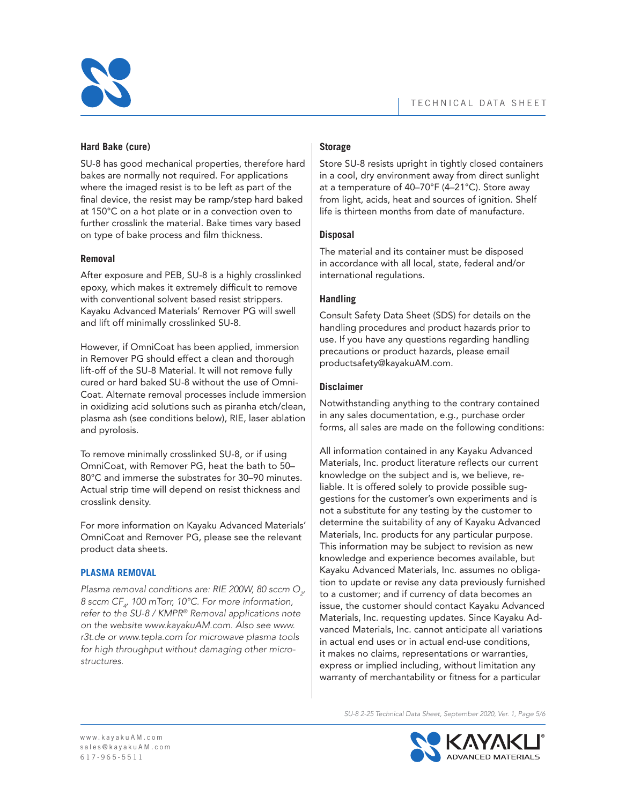

# **Hard Bake (cure)**

SU-8 has good mechanical properties, therefore hard bakes are normally not required. For applications where the imaged resist is to be left as part of the final device, the resist may be ramp/step hard baked at 150°C on a hot plate or in a convection oven to further crosslink the material. Bake times vary based on type of bake process and film thickness.

## **Removal**

After exposure and PEB, SU-8 is a highly crosslinked epoxy, which makes it extremely difficult to remove with conventional solvent based resist strippers. Kayaku Advanced Materials' Remover PG will swell and lift off minimally crosslinked SU-8.

However, if OmniCoat has been applied, immersion in Remover PG should effect a clean and thorough lift-off of the SU-8 Material. It will not remove fully cured or hard baked SU-8 without the use of Omni-Coat. Alternate removal processes include immersion in oxidizing acid solutions such as piranha etch/clean, plasma ash (see conditions below), RIE, laser ablation and pyrolosis.

To remove minimally crosslinked SU-8, or if using OmniCoat, with Remover PG, heat the bath to 50– 80°C and immerse the substrates for 30–90 minutes. Actual strip time will depend on resist thickness and crosslink density.

For more information on Kayaku Advanced Materials' OmniCoat and Remover PG, please see the relevant product data sheets.

# **PLASMA REMOVAL**

*Plasma removal conditions are: RIE 200W, 80 sccm O2 , 8 sccm CF4 , 100 mTorr, 10°C. For more information, refer to the SU-8 / KMPR® Removal applications note on the website www.kayakuAM.com. Also see www. r3t.de or www.tepla.com for microwave plasma tools for high throughput without damaging other microstructures.*

# **Storage**

Store SU-8 resists upright in tightly closed containers in a cool, dry environment away from direct sunlight at a temperature of 40–70°F (4–21°C). Store away from light, acids, heat and sources of ignition. Shelf life is thirteen months from date of manufacture.

# **Disposal**

The material and its container must be disposed in accordance with all local, state, federal and/or international regulations.

# **Handling**

Consult Safety Data Sheet (SDS) for details on the handling procedures and product hazards prior to use. If you have any questions regarding handling precautions or product hazards, please email productsafety@kayakuAM.com.

# **Disclaimer**

Notwithstanding anything to the contrary contained in any sales documentation, e.g., purchase order forms, all sales are made on the following conditions:

All information contained in any Kayaku Advanced Materials, Inc. product literature reflects our current knowledge on the subject and is, we believe, reliable. It is offered solely to provide possible suggestions for the customer's own experiments and is not a substitute for any testing by the customer to determine the suitability of any of Kayaku Advanced Materials, Inc. products for any particular purpose. This information may be subject to revision as new knowledge and experience becomes available, but Kayaku Advanced Materials, Inc. assumes no obligation to update or revise any data previously furnished to a customer; and if currency of data becomes an issue, the customer should contact Kayaku Advanced Materials, Inc. requesting updates. Since Kayaku Advanced Materials, Inc. cannot anticipate all variations in actual end uses or in actual end-use conditions, it makes no claims, representations or warranties, express or implied including, without limitation any warranty of merchantability or fitness for a particular

*SU-8 2-25 Technical Data Sheet, September 2020, Ver. 1, Page 5/6*